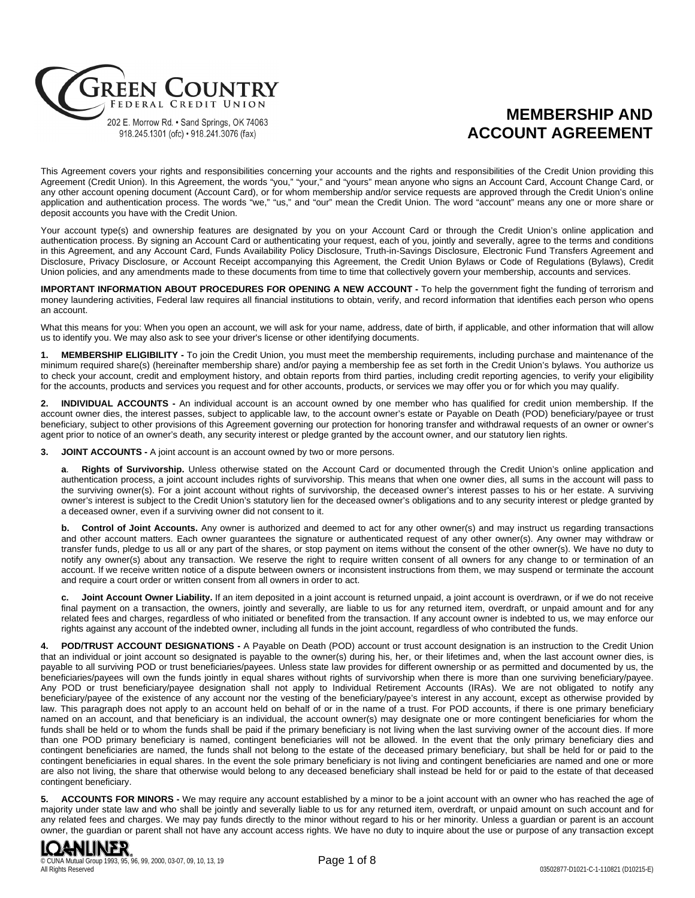

# **MEMBERSHIP AND ACCOUNT AGREEMENT**

This Agreement covers your rights and responsibilities concerning your accounts and the rights and responsibilities of the Credit Union providing this Agreement (Credit Union). In this Agreement, the words "you," "your," and "yours" mean anyone who signs an Account Card, Account Change Card, or any other account opening document (Account Card), or for whom membership and/or service requests are approved through the Credit Union's online application and authentication process. The words "we," "us," and "our" mean the Credit Union. The word "account" means any one or more share or deposit accounts you have with the Credit Union.

Your account type(s) and ownership features are designated by you on your Account Card or through the Credit Union's online application and authentication process. By signing an Account Card or authenticating your request, each of you, jointly and severally, agree to the terms and conditions in this Agreement, and any Account Card, Funds Availability Policy Disclosure, Truth-in-Savings Disclosure, Electronic Fund Transfers Agreement and Disclosure, Privacy Disclosure, or Account Receipt accompanying this Agreement, the Credit Union Bylaws or Code of Regulations (Bylaws), Credit Union policies, and any amendments made to these documents from time to time that collectively govern your membership, accounts and services.

**IMPORTANT INFORMATION ABOUT PROCEDURES FOR OPENING A NEW ACCOUNT -** To help the government fight the funding of terrorism and money laundering activities, Federal law requires all financial institutions to obtain, verify, and record information that identifies each person who opens an account.

What this means for you: When you open an account, we will ask for your name, address, date of birth, if applicable, and other information that will allow us to identify you. We may also ask to see your driver's license or other identifying documents.

**1. MEMBERSHIP ELIGIBILITY -** To join the Credit Union, you must meet the membership requirements, including purchase and maintenance of the minimum required share(s) (hereinafter membership share) and/or paying a membership fee as set forth in the Credit Union's bylaws. You authorize us to check your account, credit and employment history, and obtain reports from third parties, including credit reporting agencies, to verify your eligibility for the accounts, products and services you request and for other accounts, products, or services we may offer you or for which you may qualify.

**2. INDIVIDUAL ACCOUNTS -** An individual account is an account owned by one member who has qualified for credit union membership. If the account owner dies, the interest passes, subject to applicable law, to the account owner's estate or Payable on Death (POD) beneficiary/payee or trust beneficiary, subject to other provisions of this Agreement governing our protection for honoring transfer and withdrawal requests of an owner or owner's agent prior to notice of an owner's death, any security interest or pledge granted by the account owner, and our statutory lien rights.

**3. JOINT ACCOUNTS -** A joint account is an account owned by two or more persons.

**a**. **Rights of Survivorship.** Unless otherwise stated on the Account Card or documented through the Credit Union's online application and authentication process, a joint account includes rights of survivorship. This means that when one owner dies, all sums in the account will pass to the surviving owner(s). For a joint account without rights of survivorship, the deceased owner's interest passes to his or her estate. A surviving owner's interest is subject to the Credit Union's statutory lien for the deceased owner's obligations and to any security interest or pledge granted by a deceased owner, even if a surviving owner did not consent to it.

**b. Control of Joint Accounts.** Any owner is authorized and deemed to act for any other owner(s) and may instruct us regarding transactions and other account matters. Each owner guarantees the signature or authenticated request of any other owner(s). Any owner may withdraw or transfer funds, pledge to us all or any part of the shares, or stop payment on items without the consent of the other owner(s). We have no duty to notify any owner(s) about any transaction. We reserve the right to require written consent of all owners for any change to or termination of an account. If we receive written notice of a dispute between owners or inconsistent instructions from them, we may suspend or terminate the account and require a court order or written consent from all owners in order to act.

**c. Joint Account Owner Liability.** If an item deposited in a joint account is returned unpaid, a joint account is overdrawn, or if we do not receive final payment on a transaction, the owners, jointly and severally, are liable to us for any returned item, overdraft, or unpaid amount and for any related fees and charges, regardless of who initiated or benefited from the transaction. If any account owner is indebted to us, we may enforce our rights against any account of the indebted owner, including all funds in the joint account, regardless of who contributed the funds.

**4. POD/TRUST ACCOUNT DESIGNATIONS -** A Payable on Death (POD) account or trust account designation is an instruction to the Credit Union that an individual or joint account so designated is payable to the owner(s) during his, her, or their lifetimes and, when the last account owner dies, is payable to all surviving POD or trust beneficiaries/payees. Unless state law provides for different ownership or as permitted and documented by us, the beneficiaries/payees will own the funds jointly in equal shares without rights of survivorship when there is more than one surviving beneficiary/payee. Any POD or trust beneficiary/payee designation shall not apply to Individual Retirement Accounts (IRAs). We are not obligated to notify any beneficiary/payee of the existence of any account nor the vesting of the beneficiary/payee's interest in any account, except as otherwise provided by law. This paragraph does not apply to an account held on behalf of or in the name of a trust. For POD accounts, if there is one primary beneficiary named on an account, and that beneficiary is an individual, the account owner(s) may designate one or more contingent beneficiaries for whom the funds shall be held or to whom the funds shall be paid if the primary beneficiary is not living when the last surviving owner of the account dies. If more than one POD primary beneficiary is named, contingent beneficiaries will not be allowed. In the event that the only primary beneficiary dies and contingent beneficiaries are named, the funds shall not belong to the estate of the deceased primary beneficiary, but shall be held for or paid to the contingent beneficiaries in equal shares. In the event the sole primary beneficiary is not living and contingent beneficiaries are named and one or more are also not living, the share that otherwise would belong to any deceased beneficiary shall instead be held for or paid to the estate of that deceased contingent beneficiary.

**5. ACCOUNTS FOR MINORS -** We may require any account established by a minor to be a joint account with an owner who has reached the age of majority under state law and who shall be jointly and severally liable to us for any returned item, overdraft, or unpaid amount on such account and for any related fees and charges. We may pay funds directly to the minor without regard to his or her minority. Unless a guardian or parent is an account owner, the guardian or parent shall not have any account access rights. We have no duty to inquire about the use or purpose of any transaction except

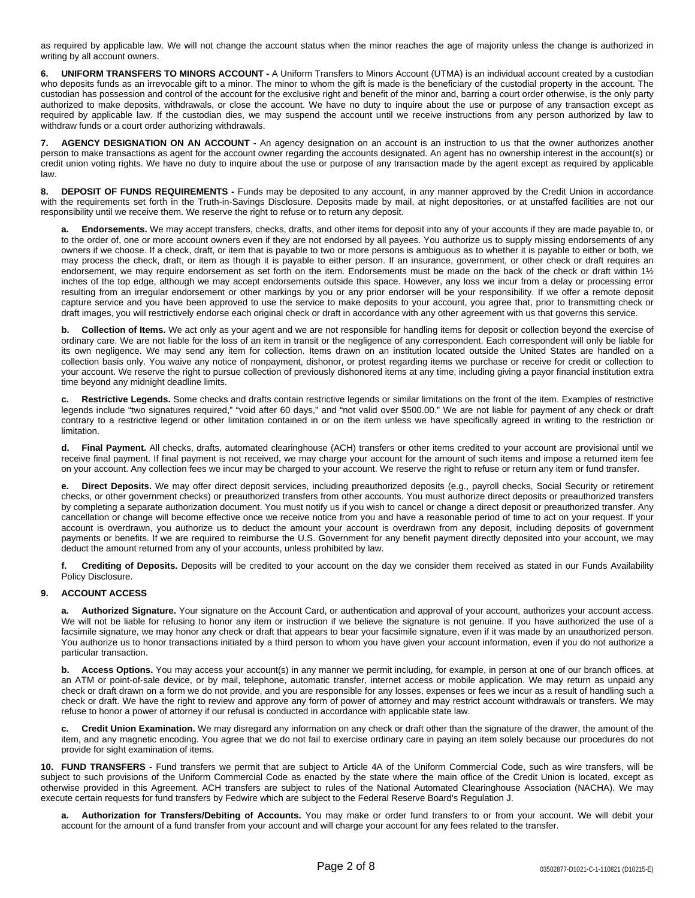as required by applicable law. We will not change the account status when the minor reaches the age of majority unless the change is authorized in writing by all account owners.

**6. UNIFORM TRANSFERS TO MINORS ACCOUNT -** A Uniform Transfers to Minors Account (UTMA) is an individual account created by a custodian who deposits funds as an irrevocable gift to a minor. The minor to whom the gift is made is the beneficiary of the custodial property in the account. The custodian has possession and control of the account for the exclusive right and benefit of the minor and, barring a court order otherwise, is the only party authorized to make deposits, withdrawals, or close the account. We have no duty to inquire about the use or purpose of any transaction except as required by applicable law. If the custodian dies, we may suspend the account until we receive instructions from any person authorized by law to withdraw funds or a court order authorizing withdrawals.

**7. AGENCY DESIGNATION ON AN ACCOUNT -** An agency designation on an account is an instruction to us that the owner authorizes another person to make transactions as agent for the account owner regarding the accounts designated. An agent has no ownership interest in the account(s) or credit union voting rights. We have no duty to inquire about the use or purpose of any transaction made by the agent except as required by applicable law.

**8. DEPOSIT OF FUNDS REQUIREMENTS -** Funds may be deposited to any account, in any manner approved by the Credit Union in accordance with the requirements set forth in the Truth-in-Savings Disclosure. Deposits made by mail, at night depositories, or at unstaffed facilities are not our responsibility until we receive them. We reserve the right to refuse or to return any deposit.

**a. Endorsements.** We may accept transfers, checks, drafts, and other items for deposit into any of your accounts if they are made payable to, or to the order of, one or more account owners even if they are not endorsed by all payees. You authorize us to supply missing endorsements of any owners if we choose. If a check, draft, or item that is payable to two or more persons is ambiguous as to whether it is payable to either or both, we may process the check, draft, or item as though it is payable to either person. If an insurance, government, or other check or draft requires an endorsement, we may require endorsement as set forth on the item. Endorsements must be made on the back of the check or draft within 1½ inches of the top edge, although we may accept endorsements outside this space. However, any loss we incur from a delay or processing error resulting from an irregular endorsement or other markings by you or any prior endorser will be your responsibility. If we offer a remote deposit capture service and you have been approved to use the service to make deposits to your account, you agree that, prior to transmitting check or draft images, you will restrictively endorse each original check or draft in accordance with any other agreement with us that governs this service.

**b. Collection of Items.** We act only as your agent and we are not responsible for handling items for deposit or collection beyond the exercise of ordinary care. We are not liable for the loss of an item in transit or the negligence of any correspondent. Each correspondent will only be liable for its own negligence. We may send any item for collection. Items drawn on an institution located outside the United States are handled on a collection basis only. You waive any notice of nonpayment, dishonor, or protest regarding items we purchase or receive for credit or collection to your account. We reserve the right to pursue collection of previously dishonored items at any time, including giving a payor financial institution extra time beyond any midnight deadline limits.

**c. Restrictive Legends.** Some checks and drafts contain restrictive legends or similar limitations on the front of the item. Examples of restrictive legends include "two signatures required," "void after 60 days," and "not valid over \$500.00." We are not liable for payment of any check or draft contrary to a restrictive legend or other limitation contained in or on the item unless we have specifically agreed in writing to the restriction or limitation.

**d. Final Payment.** All checks, drafts, automated clearinghouse (ACH) transfers or other items credited to your account are provisional until we receive final payment. If final payment is not received, we may charge your account for the amount of such items and impose a returned item fee on your account. Any collection fees we incur may be charged to your account. We reserve the right to refuse or return any item or fund transfer.

**e. Direct Deposits.** We may offer direct deposit services, including preauthorized deposits (e.g., payroll checks, Social Security or retirement checks, or other government checks) or preauthorized transfers from other accounts. You must authorize direct deposits or preauthorized transfers by completing a separate authorization document. You must notify us if you wish to cancel or change a direct deposit or preauthorized transfer. Any cancellation or change will become effective once we receive notice from you and have a reasonable period of time to act on your request. If your account is overdrawn, you authorize us to deduct the amount your account is overdrawn from any deposit, including deposits of government payments or benefits. If we are required to reimburse the U.S. Government for any benefit payment directly deposited into your account, we may deduct the amount returned from any of your accounts, unless prohibited by law.

**f. Crediting of Deposits.** Deposits will be credited to your account on the day we consider them received as stated in our Funds Availability Policy Disclosure.

# **9. ACCOUNT ACCESS**

**a. Authorized Signature.** Your signature on the Account Card, or authentication and approval of your account, authorizes your account access. We will not be liable for refusing to honor any item or instruction if we believe the signature is not genuine. If you have authorized the use of a facsimile signature, we may honor any check or draft that appears to bear your facsimile signature, even if it was made by an unauthorized person. You authorize us to honor transactions initiated by a third person to whom you have given your account information, even if you do not authorize a particular transaction.

**b. Access Options.** You may access your account(s) in any manner we permit including, for example, in person at one of our branch offices, at an ATM or point-of-sale device, or by mail, telephone, automatic transfer, internet access or mobile application. We may return as unpaid any check or draft drawn on a form we do not provide, and you are responsible for any losses, expenses or fees we incur as a result of handling such a check or draft. We have the right to review and approve any form of power of attorney and may restrict account withdrawals or transfers. We may refuse to honor a power of attorney if our refusal is conducted in accordance with applicable state law.

**c. Credit Union Examination.** We may disregard any information on any check or draft other than the signature of the drawer, the amount of the item, and any magnetic encoding. You agree that we do not fail to exercise ordinary care in paying an item solely because our procedures do not provide for sight examination of items.

**10. FUND TRANSFERS -** Fund transfers we permit that are subject to Article 4A of the Uniform Commercial Code, such as wire transfers, will be subject to such provisions of the Uniform Commercial Code as enacted by the state where the main office of the Credit Union is located, except as otherwise provided in this Agreement. ACH transfers are subject to rules of the National Automated Clearinghouse Association (NACHA). We may execute certain requests for fund transfers by Fedwire which are subject to the Federal Reserve Board's Regulation J.

**a. Authorization for Transfers/Debiting of Accounts.** You may make or order fund transfers to or from your account. We will debit your account for the amount of a fund transfer from your account and will charge your account for any fees related to the transfer.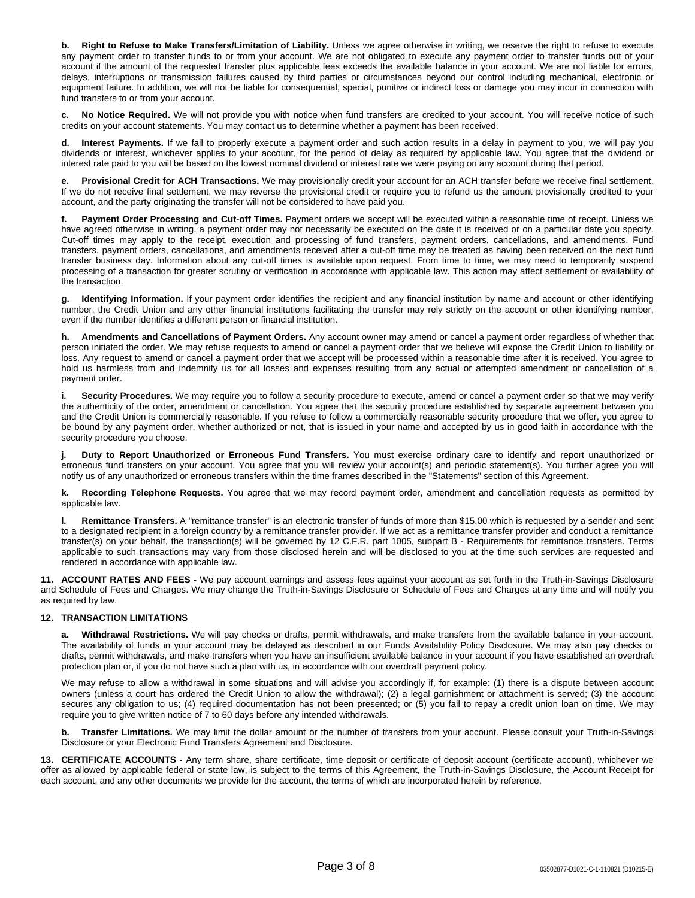**b. Right to Refuse to Make Transfers/Limitation of Liability.** Unless we agree otherwise in writing, we reserve the right to refuse to execute any payment order to transfer funds to or from your account. We are not obligated to execute any payment order to transfer funds out of your account if the amount of the requested transfer plus applicable fees exceeds the available balance in your account. We are not liable for errors, delays, interruptions or transmission failures caused by third parties or circumstances beyond our control including mechanical, electronic or equipment failure. In addition, we will not be liable for consequential, special, punitive or indirect loss or damage you may incur in connection with fund transfers to or from your account.

**c. No Notice Required.** We will not provide you with notice when fund transfers are credited to your account. You will receive notice of such credits on your account statements. You may contact us to determine whether a payment has been received.

Interest Payments. If we fail to properly execute a payment order and such action results in a delay in payment to you, we will pay you dividends or interest, whichever applies to your account, for the period of delay as required by applicable law. You agree that the dividend or interest rate paid to you will be based on the lowest nominal dividend or interest rate we were paying on any account during that period.

**e. Provisional Credit for ACH Transactions.** We may provisionally credit your account for an ACH transfer before we receive final settlement. If we do not receive final settlement, we may reverse the provisional credit or require you to refund us the amount provisionally credited to your account, and the party originating the transfer will not be considered to have paid you.

**f. Payment Order Processing and Cut-off Times.** Payment orders we accept will be executed within a reasonable time of receipt. Unless we have agreed otherwise in writing, a payment order may not necessarily be executed on the date it is received or on a particular date you specify. Cut-off times may apply to the receipt, execution and processing of fund transfers, payment orders, cancellations, and amendments. Fund transfers, payment orders, cancellations, and amendments received after a cut-off time may be treated as having been received on the next fund transfer business day. Information about any cut-off times is available upon request. From time to time, we may need to temporarily suspend processing of a transaction for greater scrutiny or verification in accordance with applicable law. This action may affect settlement or availability of the transaction.

**g. Identifying Information.** If your payment order identifies the recipient and any financial institution by name and account or other identifying number, the Credit Union and any other financial institutions facilitating the transfer may rely strictly on the account or other identifying number, even if the number identifies a different person or financial institution.

**h. Amendments and Cancellations of Payment Orders.** Any account owner may amend or cancel a payment order regardless of whether that person initiated the order. We may refuse requests to amend or cancel a payment order that we believe will expose the Credit Union to liability or loss. Any request to amend or cancel a payment order that we accept will be processed within a reasonable time after it is received. You agree to hold us harmless from and indemnify us for all losses and expenses resulting from any actual or attempted amendment or cancellation of a payment order.

**i. Security Procedures.** We may require you to follow a security procedure to execute, amend or cancel a payment order so that we may verify the authenticity of the order, amendment or cancellation. You agree that the security procedure established by separate agreement between you and the Credit Union is commercially reasonable. If you refuse to follow a commercially reasonable security procedure that we offer, you agree to be bound by any payment order, whether authorized or not, that is issued in your name and accepted by us in good faith in accordance with the security procedure you choose.

**j. Duty to Report Unauthorized or Erroneous Fund Transfers.** You must exercise ordinary care to identify and report unauthorized or erroneous fund transfers on your account. You agree that you will review your account(s) and periodic statement(s). You further agree you will notify us of any unauthorized or erroneous transfers within the time frames described in the "Statements" section of this Agreement.

**k. Recording Telephone Requests.** You agree that we may record payment order, amendment and cancellation requests as permitted by applicable law.

**l. Remittance Transfers.** A "remittance transfer" is an electronic transfer of funds of more than \$15.00 which is requested by a sender and sent to a designated recipient in a foreign country by a remittance transfer provider. If we act as a remittance transfer provider and conduct a remittance transfer(s) on your behalf, the transaction(s) will be governed by 12 C.F.R. part 1005, subpart B - Requirements for remittance transfers. Terms applicable to such transactions may vary from those disclosed herein and will be disclosed to you at the time such services are requested and rendered in accordance with applicable law.

**11. ACCOUNT RATES AND FEES -** We pay account earnings and assess fees against your account as set forth in the Truth-in-Savings Disclosure and Schedule of Fees and Charges. We may change the Truth-in-Savings Disclosure or Schedule of Fees and Charges at any time and will notify you as required by law.

# **12. TRANSACTION LIMITATIONS**

**a. Withdrawal Restrictions.** We will pay checks or drafts, permit withdrawals, and make transfers from the available balance in your account. The availability of funds in your account may be delayed as described in our Funds Availability Policy Disclosure. We may also pay checks or drafts, permit withdrawals, and make transfers when you have an insufficient available balance in your account if you have established an overdraft protection plan or, if you do not have such a plan with us, in accordance with our overdraft payment policy.

We may refuse to allow a withdrawal in some situations and will advise you accordingly if, for example: (1) there is a dispute between account owners (unless a court has ordered the Credit Union to allow the withdrawal); (2) a legal garnishment or attachment is served; (3) the account secures any obligation to us; (4) required documentation has not been presented; or (5) you fail to repay a credit union loan on time. We may require you to give written notice of 7 to 60 days before any intended withdrawals.

**b. Transfer Limitations.** We may limit the dollar amount or the number of transfers from your account. Please consult your Truth-in-Savings Disclosure or your Electronic Fund Transfers Agreement and Disclosure.

**13. CERTIFICATE ACCOUNTS -** Any term share, share certificate, time deposit or certificate of deposit account (certificate account), whichever we offer as allowed by applicable federal or state law, is subject to the terms of this Agreement, the Truth-in-Savings Disclosure, the Account Receipt for each account, and any other documents we provide for the account, the terms of which are incorporated herein by reference.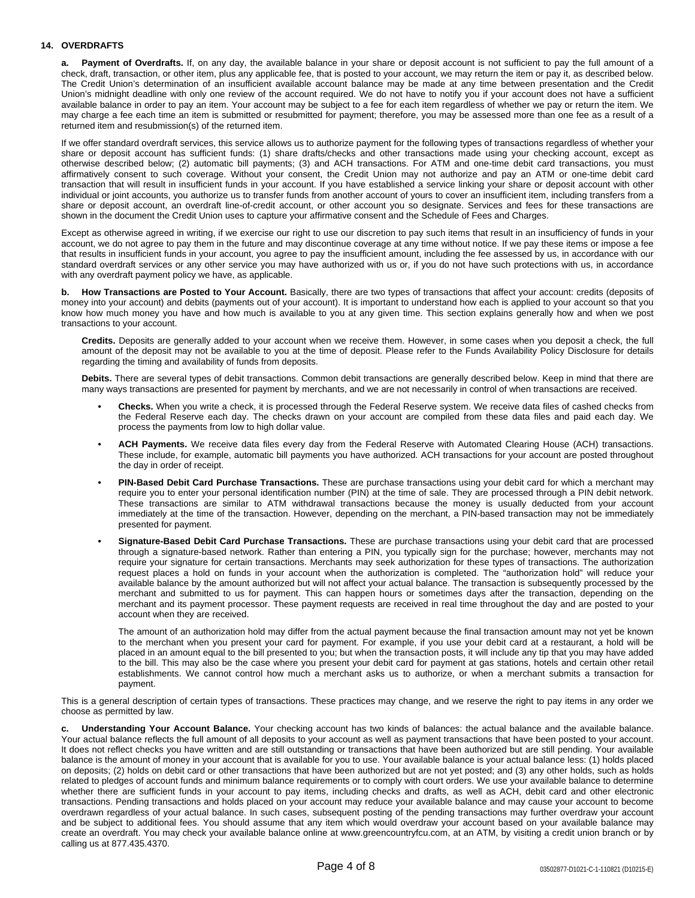## **14. OVERDRAFTS**

**a. Payment of Overdrafts.** If, on any day, the available balance in your share or deposit account is not sufficient to pay the full amount of a check, draft, transaction, or other item, plus any applicable fee, that is posted to your account, we may return the item or pay it, as described below. The Credit Union's determination of an insufficient available account balance may be made at any time between presentation and the Credit Union's midnight deadline with only one review of the account required. We do not have to notify you if your account does not have a sufficient available balance in order to pay an item. Your account may be subject to a fee for each item regardless of whether we pay or return the item. We may charge a fee each time an item is submitted or resubmitted for payment; therefore, you may be assessed more than one fee as a result of a returned item and resubmission(s) of the returned item.

If we offer standard overdraft services, this service allows us to authorize payment for the following types of transactions regardless of whether your share or deposit account has sufficient funds: (1) share drafts/checks and other transactions made using your checking account, except as otherwise described below; (2) automatic bill payments; (3) and ACH transactions. For ATM and one-time debit card transactions, you must affirmatively consent to such coverage. Without your consent, the Credit Union may not authorize and pay an ATM or one-time debit card transaction that will result in insufficient funds in your account. If you have established a service linking your share or deposit account with other individual or joint accounts, you authorize us to transfer funds from another account of yours to cover an insufficient item, including transfers from a share or deposit account, an overdraft line-of-credit account, or other account you so designate. Services and fees for these transactions are shown in the document the Credit Union uses to capture your affirmative consent and the Schedule of Fees and Charges.

Except as otherwise agreed in writing, if we exercise our right to use our discretion to pay such items that result in an insufficiency of funds in your account, we do not agree to pay them in the future and may discontinue coverage at any time without notice. If we pay these items or impose a fee that results in insufficient funds in your account, you agree to pay the insufficient amount, including the fee assessed by us, in accordance with our standard overdraft services or any other service you may have authorized with us or, if you do not have such protections with us, in accordance with any overdraft payment policy we have, as applicable.

**b. How Transactions are Posted to Your Account.** Basically, there are two types of transactions that affect your account: credits (deposits of money into your account) and debits (payments out of your account). It is important to understand how each is applied to your account so that you know how much money you have and how much is available to you at any given time. This section explains generally how and when we post transactions to your account.

**Credits.** Deposits are generally added to your account when we receive them. However, in some cases when you deposit a check, the full amount of the deposit may not be available to you at the time of deposit. Please refer to the Funds Availability Policy Disclosure for details regarding the timing and availability of funds from deposits.

**Debits.** There are several types of debit transactions. Common debit transactions are generally described below. Keep in mind that there are many ways transactions are presented for payment by merchants, and we are not necessarily in control of when transactions are received.

- **• Checks.** When you write a check, it is processed through the Federal Reserve system. We receive data files of cashed checks from the Federal Reserve each day. The checks drawn on your account are compiled from these data files and paid each day. We process the payments from low to high dollar value.
- **• ACH Payments.** We receive data files every day from the Federal Reserve with Automated Clearing House (ACH) transactions. These include, for example, automatic bill payments you have authorized. ACH transactions for your account are posted throughout the day in order of receipt.
- **• PIN-Based Debit Card Purchase Transactions.** These are purchase transactions using your debit card for which a merchant may require you to enter your personal identification number (PIN) at the time of sale. They are processed through a PIN debit network. These transactions are similar to ATM withdrawal transactions because the money is usually deducted from your account immediately at the time of the transaction. However, depending on the merchant, a PIN-based transaction may not be immediately presented for payment.
- **• Signature-Based Debit Card Purchase Transactions.** These are purchase transactions using your debit card that are processed through a signature-based network. Rather than entering a PIN, you typically sign for the purchase; however, merchants may not require your signature for certain transactions. Merchants may seek authorization for these types of transactions. The authorization request places a hold on funds in your account when the authorization is completed. The "authorization hold" will reduce your available balance by the amount authorized but will not affect your actual balance. The transaction is subsequently processed by the merchant and submitted to us for payment. This can happen hours or sometimes days after the transaction, depending on the merchant and its payment processor. These payment requests are received in real time throughout the day and are posted to your account when they are received.

The amount of an authorization hold may differ from the actual payment because the final transaction amount may not yet be known to the merchant when you present your card for payment. For example, if you use your debit card at a restaurant, a hold will be placed in an amount equal to the bill presented to you; but when the transaction posts, it will include any tip that you may have added to the bill. This may also be the case where you present your debit card for payment at gas stations, hotels and certain other retail establishments. We cannot control how much a merchant asks us to authorize, or when a merchant submits a transaction for payment.

This is a general description of certain types of transactions. These practices may change, and we reserve the right to pay items in any order we choose as permitted by law.

**c. Understanding Your Account Balance.** Your checking account has two kinds of balances: the actual balance and the available balance. Your actual balance reflects the full amount of all deposits to your account as well as payment transactions that have been posted to your account. It does not reflect checks you have written and are still outstanding or transactions that have been authorized but are still pending. Your available balance is the amount of money in your account that is available for you to use. Your available balance is your actual balance less: (1) holds placed on deposits; (2) holds on debit card or other transactions that have been authorized but are not yet posted; and (3) any other holds, such as holds related to pledges of account funds and minimum balance requirements or to comply with court orders. We use your available balance to determine whether there are sufficient funds in your account to pay items, including checks and drafts, as well as ACH, debit card and other electronic transactions. Pending transactions and holds placed on your account may reduce your available balance and may cause your account to become overdrawn regardless of your actual balance. In such cases, subsequent posting of the pending transactions may further overdraw your account and be subject to additional fees. You should assume that any item which would overdraw your account based on your available balance may create an overdraft. You may check your available balance online at www.greencountryfcu.com, at an ATM, by visiting a credit union branch or by calling us at 877.435.4370.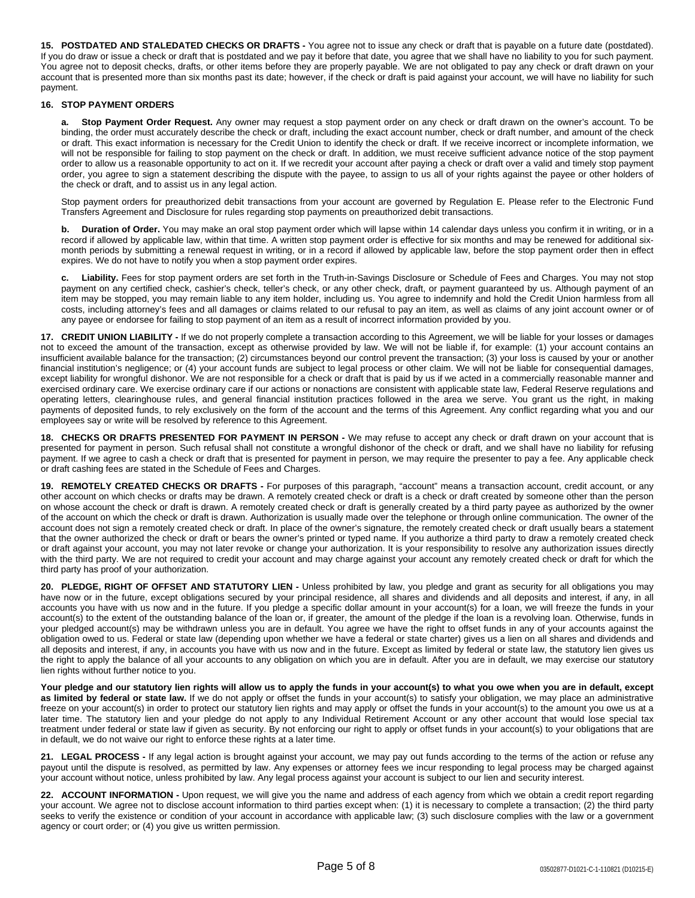**15. POSTDATED AND STALEDATED CHECKS OR DRAFTS -** You agree not to issue any check or draft that is payable on a future date (postdated). If you do draw or issue a check or draft that is postdated and we pay it before that date, you agree that we shall have no liability to you for such payment. You agree not to deposit checks, drafts, or other items before they are properly payable. We are not obligated to pay any check or draft drawn on your account that is presented more than six months past its date; however, if the check or draft is paid against your account, we will have no liability for such payment.

## **16. STOP PAYMENT ORDERS**

**a. Stop Payment Order Request.** Any owner may request a stop payment order on any check or draft drawn on the owner's account. To be binding, the order must accurately describe the check or draft, including the exact account number, check or draft number, and amount of the check or draft. This exact information is necessary for the Credit Union to identify the check or draft. If we receive incorrect or incomplete information, we will not be responsible for failing to stop payment on the check or draft. In addition, we must receive sufficient advance notice of the stop payment order to allow us a reasonable opportunity to act on it. If we recredit your account after paying a check or draft over a valid and timely stop payment order, you agree to sign a statement describing the dispute with the payee, to assign to us all of your rights against the payee or other holders of the check or draft, and to assist us in any legal action.

Stop payment orders for preauthorized debit transactions from your account are governed by Regulation E. Please refer to the Electronic Fund Transfers Agreement and Disclosure for rules regarding stop payments on preauthorized debit transactions.

**b. Duration of Order.** You may make an oral stop payment order which will lapse within 14 calendar days unless you confirm it in writing, or in a record if allowed by applicable law, within that time. A written stop payment order is effective for six months and may be renewed for additional sixmonth periods by submitting a renewal request in writing, or in a record if allowed by applicable law, before the stop payment order then in effect expires. We do not have to notify you when a stop payment order expires.

**c. Liability.** Fees for stop payment orders are set forth in the Truth-in-Savings Disclosure or Schedule of Fees and Charges. You may not stop payment on any certified check, cashier's check, teller's check, or any other check, draft, or payment guaranteed by us. Although payment of an item may be stopped, you may remain liable to any item holder, including us. You agree to indemnify and hold the Credit Union harmless from all costs, including attorney's fees and all damages or claims related to our refusal to pay an item, as well as claims of any joint account owner or of any payee or endorsee for failing to stop payment of an item as a result of incorrect information provided by you.

**17. CREDIT UNION LIABILITY -** If we do not properly complete a transaction according to this Agreement, we will be liable for your losses or damages not to exceed the amount of the transaction, except as otherwise provided by law. We will not be liable if, for example: (1) your account contains an insufficient available balance for the transaction; (2) circumstances beyond our control prevent the transaction; (3) your loss is caused by your or another financial institution's negligence; or (4) your account funds are subject to legal process or other claim. We will not be liable for consequential damages, except liability for wrongful dishonor. We are not responsible for a check or draft that is paid by us if we acted in a commercially reasonable manner and exercised ordinary care. We exercise ordinary care if our actions or nonactions are consistent with applicable state law, Federal Reserve regulations and operating letters, clearinghouse rules, and general financial institution practices followed in the area we serve. You grant us the right, in making payments of deposited funds, to rely exclusively on the form of the account and the terms of this Agreement. Any conflict regarding what you and our employees say or write will be resolved by reference to this Agreement.

**18. CHECKS OR DRAFTS PRESENTED FOR PAYMENT IN PERSON -** We may refuse to accept any check or draft drawn on your account that is presented for payment in person. Such refusal shall not constitute a wrongful dishonor of the check or draft, and we shall have no liability for refusing payment. If we agree to cash a check or draft that is presented for payment in person, we may require the presenter to pay a fee. Any applicable check or draft cashing fees are stated in the Schedule of Fees and Charges.

**19. REMOTELY CREATED CHECKS OR DRAFTS -** For purposes of this paragraph, "account" means a transaction account, credit account, or any other account on which checks or drafts may be drawn. A remotely created check or draft is a check or draft created by someone other than the person on whose account the check or draft is drawn. A remotely created check or draft is generally created by a third party payee as authorized by the owner of the account on which the check or draft is drawn. Authorization is usually made over the telephone or through online communication. The owner of the account does not sign a remotely created check or draft. In place of the owner's signature, the remotely created check or draft usually bears a statement that the owner authorized the check or draft or bears the owner's printed or typed name. If you authorize a third party to draw a remotely created check or draft against your account, you may not later revoke or change your authorization. It is your responsibility to resolve any authorization issues directly with the third party. We are not required to credit your account and may charge against your account any remotely created check or draft for which the third party has proof of your authorization.

**20. PLEDGE, RIGHT OF OFFSET AND STATUTORY LIEN -** Unless prohibited by law, you pledge and grant as security for all obligations you may have now or in the future, except obligations secured by your principal residence, all shares and dividends and all deposits and interest, if any, in all accounts you have with us now and in the future. If you pledge a specific dollar amount in your account(s) for a loan, we will freeze the funds in your account(s) to the extent of the outstanding balance of the loan or, if greater, the amount of the pledge if the loan is a revolving loan. Otherwise, funds in your pledged account(s) may be withdrawn unless you are in default. You agree we have the right to offset funds in any of your accounts against the obligation owed to us. Federal or state law (depending upon whether we have a federal or state charter) gives us a lien on all shares and dividends and all deposits and interest, if any, in accounts you have with us now and in the future. Except as limited by federal or state law, the statutory lien gives us the right to apply the balance of all your accounts to any obligation on which you are in default. After you are in default, we may exercise our statutory lien rights without further notice to you.

Your pledge and our statutory lien rights will allow us to apply the funds in your account(s) to what you owe when you are in default, except **as limited by federal or state law.** If we do not apply or offset the funds in your account(s) to satisfy your obligation, we may place an administrative freeze on your account(s) in order to protect our statutory lien rights and may apply or offset the funds in your account(s) to the amount you owe us at a later time. The statutory lien and your pledge do not apply to any Individual Retirement Account or any other account that would lose special tax treatment under federal or state law if given as security. By not enforcing our right to apply or offset funds in your account(s) to your obligations that are in default, we do not waive our right to enforce these rights at a later time.

**21. LEGAL PROCESS -** If any legal action is brought against your account, we may pay out funds according to the terms of the action or refuse any payout until the dispute is resolved, as permitted by law. Any expenses or attorney fees we incur responding to legal process may be charged against your account without notice, unless prohibited by law. Any legal process against your account is subject to our lien and security interest.

**22. ACCOUNT INFORMATION -** Upon request, we will give you the name and address of each agency from which we obtain a credit report regarding your account. We agree not to disclose account information to third parties except when: (1) it is necessary to complete a transaction; (2) the third party seeks to verify the existence or condition of your account in accordance with applicable law; (3) such disclosure complies with the law or a government agency or court order; or (4) you give us written permission.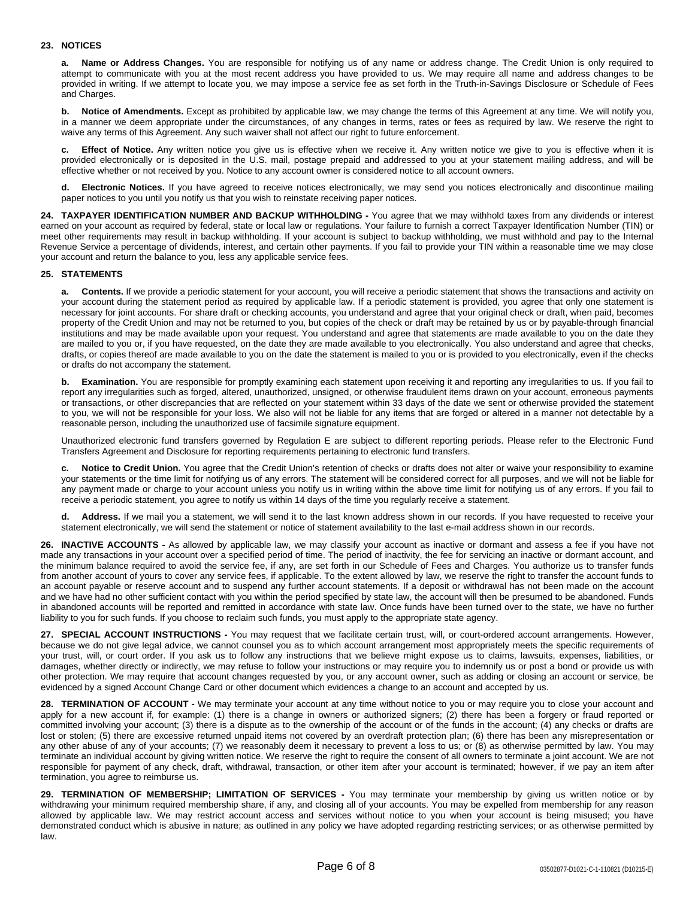## **23. NOTICES**

**a. Name or Address Changes.** You are responsible for notifying us of any name or address change. The Credit Union is only required to attempt to communicate with you at the most recent address you have provided to us. We may require all name and address changes to be provided in writing. If we attempt to locate you, we may impose a service fee as set forth in the Truth-in-Savings Disclosure or Schedule of Fees and Charges.

**b. Notice of Amendments.** Except as prohibited by applicable law, we may change the terms of this Agreement at any time. We will notify you, in a manner we deem appropriate under the circumstances, of any changes in terms, rates or fees as required by law. We reserve the right to waive any terms of this Agreement. Any such waiver shall not affect our right to future enforcement.

**c. Effect of Notice.** Any written notice you give us is effective when we receive it. Any written notice we give to you is effective when it is provided electronically or is deposited in the U.S. mail, postage prepaid and addressed to you at your statement mailing address, and will be effective whether or not received by you. Notice to any account owner is considered notice to all account owners.

**d. Electronic Notices.** If you have agreed to receive notices electronically, we may send you notices electronically and discontinue mailing paper notices to you until you notify us that you wish to reinstate receiving paper notices.

**24. TAXPAYER IDENTIFICATION NUMBER AND BACKUP WITHHOLDING -** You agree that we may withhold taxes from any dividends or interest earned on your account as required by federal, state or local law or regulations. Your failure to furnish a correct Taxpayer Identification Number (TIN) or meet other requirements may result in backup withholding. If your account is subject to backup withholding, we must withhold and pay to the Internal Revenue Service a percentage of dividends, interest, and certain other payments. If you fail to provide your TIN within a reasonable time we may close your account and return the balance to you, less any applicable service fees.

## **25. STATEMENTS**

**a. Contents.** If we provide a periodic statement for your account, you will receive a periodic statement that shows the transactions and activity on your account during the statement period as required by applicable law. If a periodic statement is provided, you agree that only one statement is necessary for joint accounts. For share draft or checking accounts, you understand and agree that your original check or draft, when paid, becomes property of the Credit Union and may not be returned to you, but copies of the check or draft may be retained by us or by payable-through financial institutions and may be made available upon your request. You understand and agree that statements are made available to you on the date they are mailed to you or, if you have requested, on the date they are made available to you electronically. You also understand and agree that checks, drafts, or copies thereof are made available to you on the date the statement is mailed to you or is provided to you electronically, even if the checks or drafts do not accompany the statement.

**b.** Examination. You are responsible for promptly examining each statement upon receiving it and reporting any irregularities to us. If you fail to report any irregularities such as forged, altered, unauthorized, unsigned, or otherwise fraudulent items drawn on your account, erroneous payments or transactions, or other discrepancies that are reflected on your statement within 33 days of the date we sent or otherwise provided the statement to you, we will not be responsible for your loss. We also will not be liable for any items that are forged or altered in a manner not detectable by a reasonable person, including the unauthorized use of facsimile signature equipment.

Unauthorized electronic fund transfers governed by Regulation E are subject to different reporting periods. Please refer to the Electronic Fund Transfers Agreement and Disclosure for reporting requirements pertaining to electronic fund transfers.

**c. Notice to Credit Union.** You agree that the Credit Union's retention of checks or drafts does not alter or waive your responsibility to examine your statements or the time limit for notifying us of any errors. The statement will be considered correct for all purposes, and we will not be liable for any payment made or charge to your account unless you notify us in writing within the above time limit for notifying us of any errors. If you fail to receive a periodic statement, you agree to notify us within 14 days of the time you regularly receive a statement.

Address. If we mail you a statement, we will send it to the last known address shown in our records. If you have requested to receive your statement electronically, we will send the statement or notice of statement availability to the last e-mail address shown in our records.

**26. INACTIVE ACCOUNTS -** As allowed by applicable law, we may classify your account as inactive or dormant and assess a fee if you have not made any transactions in your account over a specified period of time. The period of inactivity, the fee for servicing an inactive or dormant account, and the minimum balance required to avoid the service fee, if any, are set forth in our Schedule of Fees and Charges. You authorize us to transfer funds from another account of yours to cover any service fees, if applicable. To the extent allowed by law, we reserve the right to transfer the account funds to an account payable or reserve account and to suspend any further account statements. If a deposit or withdrawal has not been made on the account and we have had no other sufficient contact with you within the period specified by state law, the account will then be presumed to be abandoned. Funds in abandoned accounts will be reported and remitted in accordance with state law. Once funds have been turned over to the state, we have no further liability to you for such funds. If you choose to reclaim such funds, you must apply to the appropriate state agency.

**27. SPECIAL ACCOUNT INSTRUCTIONS -** You may request that we facilitate certain trust, will, or court-ordered account arrangements. However, because we do not give legal advice, we cannot counsel you as to which account arrangement most appropriately meets the specific requirements of your trust, will, or court order. If you ask us to follow any instructions that we believe might expose us to claims, lawsuits, expenses, liabilities, or damages, whether directly or indirectly, we may refuse to follow your instructions or may require you to indemnify us or post a bond or provide us with other protection. We may require that account changes requested by you, or any account owner, such as adding or closing an account or service, be evidenced by a signed Account Change Card or other document which evidences a change to an account and accepted by us.

**28. TERMINATION OF ACCOUNT -** We may terminate your account at any time without notice to you or may require you to close your account and apply for a new account if, for example: (1) there is a change in owners or authorized signers; (2) there has been a forgery or fraud reported or committed involving your account; (3) there is a dispute as to the ownership of the account or of the funds in the account; (4) any checks or drafts are lost or stolen; (5) there are excessive returned unpaid items not covered by an overdraft protection plan; (6) there has been any misrepresentation or any other abuse of any of your accounts; (7) we reasonably deem it necessary to prevent a loss to us; or (8) as otherwise permitted by law. You may terminate an individual account by giving written notice. We reserve the right to require the consent of all owners to terminate a joint account. We are not responsible for payment of any check, draft, withdrawal, transaction, or other item after your account is terminated; however, if we pay an item after termination, you agree to reimburse us.

**29. TERMINATION OF MEMBERSHIP; LIMITATION OF SERVICES -** You may terminate your membership by giving us written notice or by withdrawing your minimum required membership share, if any, and closing all of your accounts. You may be expelled from membership for any reason allowed by applicable law. We may restrict account access and services without notice to you when your account is being misused; you have demonstrated conduct which is abusive in nature; as outlined in any policy we have adopted regarding restricting services; or as otherwise permitted by law.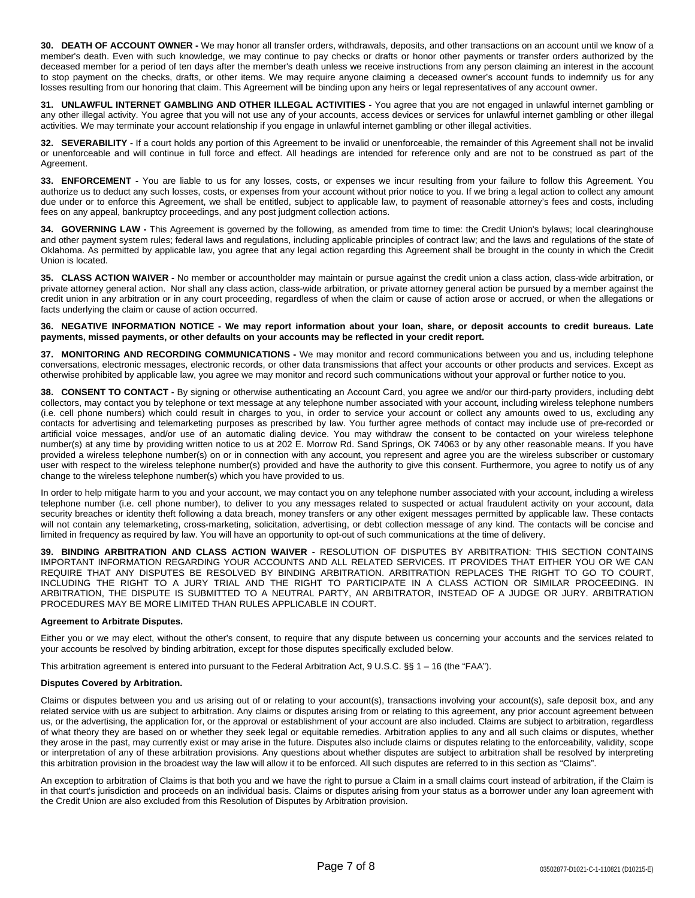**30. DEATH OF ACCOUNT OWNER -** We may honor all transfer orders, withdrawals, deposits, and other transactions on an account until we know of a member's death. Even with such knowledge, we may continue to pay checks or drafts or honor other payments or transfer orders authorized by the deceased member for a period of ten days after the member's death unless we receive instructions from any person claiming an interest in the account to stop payment on the checks, drafts, or other items. We may require anyone claiming a deceased owner's account funds to indemnify us for any losses resulting from our honoring that claim. This Agreement will be binding upon any heirs or legal representatives of any account owner.

**31. UNLAWFUL INTERNET GAMBLING AND OTHER ILLEGAL ACTIVITIES -** You agree that you are not engaged in unlawful internet gambling or any other illegal activity. You agree that you will not use any of your accounts, access devices or services for unlawful internet gambling or other illegal activities. We may terminate your account relationship if you engage in unlawful internet gambling or other illegal activities.

**32. SEVERABILITY -** If a court holds any portion of this Agreement to be invalid or unenforceable, the remainder of this Agreement shall not be invalid or unenforceable and will continue in full force and effect. All headings are intended for reference only and are not to be construed as part of the Agreement.

**33. ENFORCEMENT -** You are liable to us for any losses, costs, or expenses we incur resulting from your failure to follow this Agreement. You authorize us to deduct any such losses, costs, or expenses from your account without prior notice to you. If we bring a legal action to collect any amount due under or to enforce this Agreement, we shall be entitled, subject to applicable law, to payment of reasonable attorney's fees and costs, including fees on any appeal, bankruptcy proceedings, and any post judgment collection actions.

**34. GOVERNING LAW -** This Agreement is governed by the following, as amended from time to time: the Credit Union's bylaws; local clearinghouse and other payment system rules; federal laws and regulations, including applicable principles of contract law; and the laws and regulations of the state of Oklahoma. As permitted by applicable law, you agree that any legal action regarding this Agreement shall be brought in the county in which the Credit Union is located.

**35. CLASS ACTION WAIVER -** No member or accountholder may maintain or pursue against the credit union a class action, class-wide arbitration, or private attorney general action. Nor shall any class action, class-wide arbitration, or private attorney general action be pursued by a member against the credit union in any arbitration or in any court proceeding, regardless of when the claim or cause of action arose or accrued, or when the allegations or facts underlying the claim or cause of action occurred.

## 36. NEGATIVE INFORMATION NOTICE - We may report information about your loan, share, or deposit accounts to credit bureaus. Late **payments, missed payments, or other defaults on your accounts may be reflected in your credit report.**

**37. MONITORING AND RECORDING COMMUNICATIONS -** We may monitor and record communications between you and us, including telephone conversations, electronic messages, electronic records, or other data transmissions that affect your accounts or other products and services. Except as otherwise prohibited by applicable law, you agree we may monitor and record such communications without your approval or further notice to you.

**38. CONSENT TO CONTACT -** By signing or otherwise authenticating an Account Card, you agree we and/or our third-party providers, including debt collectors, may contact you by telephone or text message at any telephone number associated with your account, including wireless telephone numbers (i.e. cell phone numbers) which could result in charges to you, in order to service your account or collect any amounts owed to us, excluding any contacts for advertising and telemarketing purposes as prescribed by law. You further agree methods of contact may include use of pre-recorded or artificial voice messages, and/or use of an automatic dialing device. You may withdraw the consent to be contacted on your wireless telephone number(s) at any time by providing written notice to us at 202 E. Morrow Rd. Sand Springs, OK 74063 or by any other reasonable means. If you have provided a wireless telephone number(s) on or in connection with any account, you represent and agree you are the wireless subscriber or customary user with respect to the wireless telephone number(s) provided and have the authority to give this consent. Furthermore, you agree to notify us of any change to the wireless telephone number(s) which you have provided to us.

In order to help mitigate harm to you and your account, we may contact you on any telephone number associated with your account, including a wireless telephone number (i.e. cell phone number), to deliver to you any messages related to suspected or actual fraudulent activity on your account, data security breaches or identity theft following a data breach, money transfers or any other exigent messages permitted by applicable law. These contacts will not contain any telemarketing, cross-marketing, solicitation, advertising, or debt collection message of any kind. The contacts will be concise and limited in frequency as required by law. You will have an opportunity to opt-out of such communications at the time of delivery.

**39. BINDING ARBITRATION AND CLASS ACTION WAIVER -** RESOLUTION OF DISPUTES BY ARBITRATION: THIS SECTION CONTAINS IMPORTANT INFORMATION REGARDING YOUR ACCOUNTS AND ALL RELATED SERVICES. IT PROVIDES THAT EITHER YOU OR WE CAN REQUIRE THAT ANY DISPUTES BE RESOLVED BY BINDING ARBITRATION. ARBITRATION REPLACES THE RIGHT TO GO TO COURT, INCLUDING THE RIGHT TO A JURY TRIAL AND THE RIGHT TO PARTICIPATE IN A CLASS ACTION OR SIMILAR PROCEEDING. IN ARBITRATION, THE DISPUTE IS SUBMITTED TO A NEUTRAL PARTY, AN ARBITRATOR, INSTEAD OF A JUDGE OR JURY. ARBITRATION PROCEDURES MAY BE MORE LIMITED THAN RULES APPLICABLE IN COURT.

## **Agreement to Arbitrate Disputes.**

Either you or we may elect, without the other's consent, to require that any dispute between us concerning your accounts and the services related to your accounts be resolved by binding arbitration, except for those disputes specifically excluded below.

This arbitration agreement is entered into pursuant to the Federal Arbitration Act, 9 U.S.C. §§ 1 - 16 (the "FAA").

### **Disputes Covered by Arbitration.**

Claims or disputes between you and us arising out of or relating to your account(s), transactions involving your account(s), safe deposit box, and any related service with us are subject to arbitration. Any claims or disputes arising from or relating to this agreement, any prior account agreement between us, or the advertising, the application for, or the approval or establishment of your account are also included. Claims are subject to arbitration, regardless of what theory they are based on or whether they seek legal or equitable remedies. Arbitration applies to any and all such claims or disputes, whether they arose in the past, may currently exist or may arise in the future. Disputes also include claims or disputes relating to the enforceability, validity, scope or interpretation of any of these arbitration provisions. Any questions about whether disputes are subject to arbitration shall be resolved by interpreting this arbitration provision in the broadest way the law will allow it to be enforced. All such disputes are referred to in this section as "Claims".

An exception to arbitration of Claims is that both you and we have the right to pursue a Claim in a small claims court instead of arbitration, if the Claim is in that court's jurisdiction and proceeds on an individual basis. Claims or disputes arising from your status as a borrower under any loan agreement with the Credit Union are also excluded from this Resolution of Disputes by Arbitration provision.